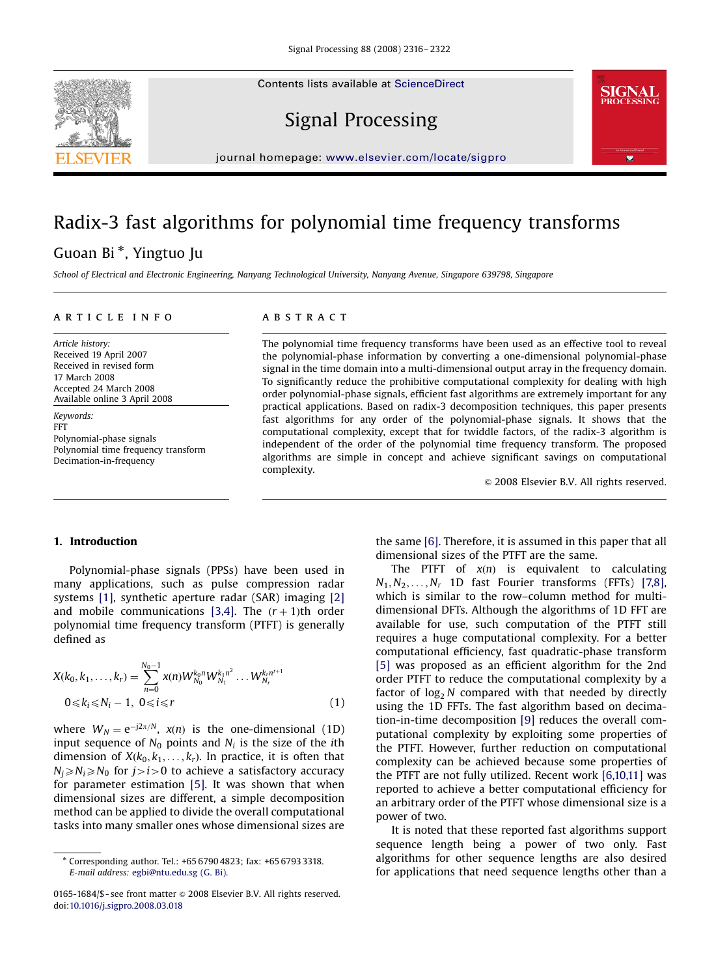Contents lists available at [ScienceDirect](www.sciencedirect.com/science/journal/sigpro)





Signal Processing

journal homepage: <www.elsevier.com/locate/sigpro>

## Radix-3 fast algorithms for polynomial time frequency transforms Guoan Bi<sup>\*</sup>, Yingtuo Ju

School of Electrical and Electronic Engineering, Nanyang Technological University, Nanyang Avenue, Singapore 639798, Singapore

#### article info

Article history: Received 19 April 2007 Received in revised form 17 March 2008 Accepted 24 March 2008 Available online 3 April 2008 Keywords:

FFT Polynomial-phase signals Polynomial time frequency transform Decimation-in-frequency

### **ABSTRACT**

The polynomial time frequency transforms have been used as an effective tool to reveal the polynomial-phase information by converting a one-dimensional polynomial-phase signal in the time domain into a multi-dimensional output array in the frequency domain. To significantly reduce the prohibitive computational complexity for dealing with high order polynomial-phase signals, efficient fast algorithms are extremely important for any practical applications. Based on radix-3 decomposition techniques, this paper presents fast algorithms for any order of the polynomial-phase signals. It shows that the computational complexity, except that for twiddle factors, of the radix-3 algorithm is independent of the order of the polynomial time frequency transform. The proposed algorithms are simple in concept and achieve significant savings on computational complexity.

 $\odot$  2008 Elsevier B.V. All rights reserved.

#### 1. Introduction

Polynomial-phase signals (PPSs) have been used in many applications, such as pulse compression radar systems [\[1\]](#page--1-0), synthetic aperture radar (SAR) imaging [\[2\]](#page--1-0) and mobile communications [\[3,4\]](#page--1-0). The  $(r + 1)$ th order polynomial time frequency transform (PTFT) is generally defined as

$$
X(k_0, k_1, \dots, k_r) = \sum_{n=0}^{N_0 - 1} x(n) W_{N_0}^{k_0 n} W_{N_1}^{k_1 n^2} \dots W_{N_r}^{k_r n^{r+1}}
$$
  

$$
0 \le k_i \le N_i - 1, \ 0 \le i \le r
$$
 (1)

where  $W_N = e^{-j2\pi/N}$ ,  $x(n)$  is the one-dimensional (1D) input sequence of  $N_0$  points and  $N_i$  is the size of the ith dimension of  $X(k_0, k_1, \ldots, k_r)$ . In practice, it is often that  $N_i \ge N_i \ge N_0$  for  $j>i>0$  to achieve a satisfactory accuracy for parameter estimation [\[5\].](#page--1-0) It was shown that when dimensional sizes are different, a simple decomposition method can be applied to divide the overall computational tasks into many smaller ones whose dimensional sizes are

the same [\[6\]](#page--1-0). Therefore, it is assumed in this paper that all dimensional sizes of the PTFT are the same.

The PTFT of  $x(n)$  is equivalent to calculating  $N_1, N_2, \ldots, N_r$  1D fast Fourier transforms (FFTs) [\[7,8\]](#page--1-0), which is similar to the row–column method for multidimensional DFTs. Although the algorithms of 1D FFT are available for use, such computation of the PTFT still requires a huge computational complexity. For a better computational efficiency, fast quadratic-phase transform [\[5\]](#page--1-0) was proposed as an efficient algorithm for the 2nd order PTFT to reduce the computational complexity by a factor of  $log<sub>2</sub> N$  compared with that needed by directly using the 1D FFTs. The fast algorithm based on decimation-in-time decomposition [\[9\]](#page--1-0) reduces the overall computational complexity by exploiting some properties of the PTFT. However, further reduction on computational complexity can be achieved because some properties of the PTFT are not fully utilized. Recent work [\[6,10,11\]](#page--1-0) was reported to achieve a better computational efficiency for an arbitrary order of the PTFT whose dimensional size is a power of two.

It is noted that these reported fast algorithms support sequence length being a power of two only. Fast algorithms for other sequence lengths are also desired for applications that need sequence lengths other than a

<sup>-</sup> Corresponding author. Tel.: +65 6790 4823; fax: +65 6793 3318. E-mail address: [egbi@ntu.edu.sg \(G. Bi\).](mailto:egbi@ntu.edu.sg)

<sup>0165-1684/\$ -</sup> see front matter  $\circ$  2008 Elsevier B.V. All rights reserved. doi:[10.1016/j.sigpro.2008.03.018](dx.doi.org/10.1016/j.sigpro.2008.03.018)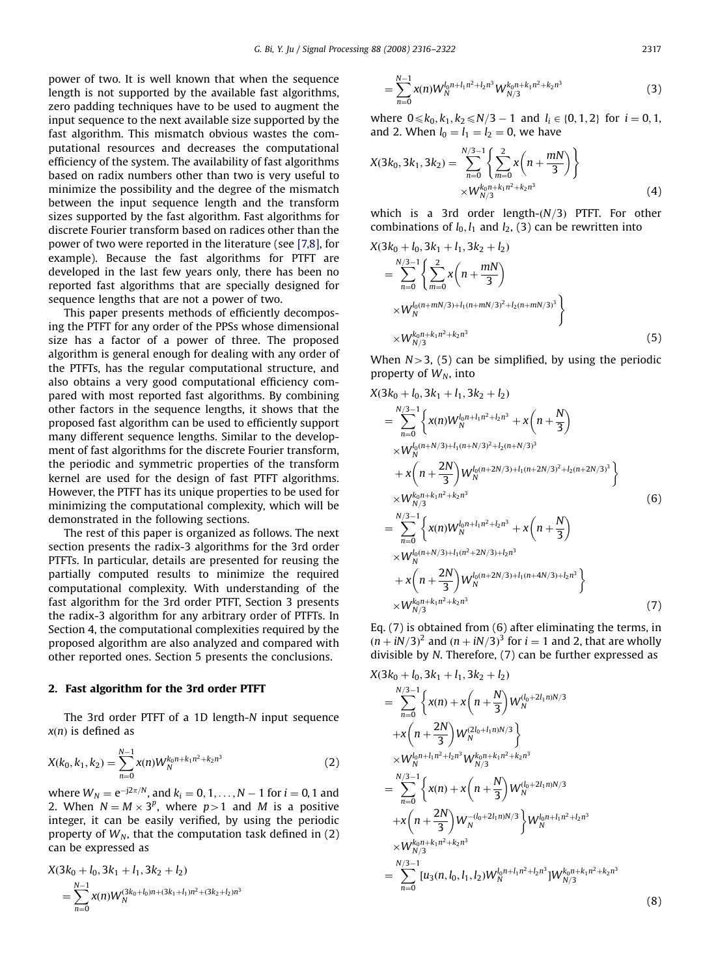power of two. It is well known that when the sequence length is not supported by the available fast algorithms, zero padding techniques have to be used to augment the input sequence to the next available size supported by the fast algorithm. This mismatch obvious wastes the computational resources and decreases the computational efficiency of the system. The availability of fast algorithms based on radix numbers other than two is very useful to minimize the possibility and the degree of the mismatch between the input sequence length and the transform sizes supported by the fast algorithm. Fast algorithms for discrete Fourier transform based on radices other than the power of two were reported in the literature (see [\[7,8\]](#page--1-0), for example). Because the fast algorithms for PTFT are developed in the last few years only, there has been no reported fast algorithms that are specially designed for sequence lengths that are not a power of two.

This paper presents methods of efficiently decomposing the PTFT for any order of the PPSs whose dimensional size has a factor of a power of three. The proposed algorithm is general enough for dealing with any order of the PTFTs, has the regular computational structure, and also obtains a very good computational efficiency compared with most reported fast algorithms. By combining other factors in the sequence lengths, it shows that the proposed fast algorithm can be used to efficiently support many different sequence lengths. Similar to the development of fast algorithms for the discrete Fourier transform, the periodic and symmetric properties of the transform kernel are used for the design of fast PTFT algorithms. However, the PTFT has its unique properties to be used for minimizing the computational complexity, which will be demonstrated in the following sections.

The rest of this paper is organized as follows. The next section presents the radix-3 algorithms for the 3rd order PTFTs. In particular, details are presented for reusing the partially computed results to minimize the required computational complexity. With understanding of the fast algorithm for the 3rd order PTFT, Section 3 presents the radix-3 algorithm for any arbitrary order of PTFTs. In Section 4, the computational complexities required by the proposed algorithm are also analyzed and compared with other reported ones. Section 5 presents the conclusions.

#### 2. Fast algorithm for the 3rd order PTFT

The 3rd order PTFT of a 1D length-N input sequence  $x(n)$  is defined as

$$
X(k_0, k_1, k_2) = \sum_{n=0}^{N-1} x(n) W_N^{k_0 n + k_1 n^2 + k_2 n^3}
$$
 (2)

where  $W_N = e^{-j2\pi/N}$ , and  $k_i = 0, 1, ..., N - 1$  for  $i = 0, 1$  and 2. When  $N = M \times 3^p$ , where  $p > 1$  and M is a positive integer, it can be easily verified, by using the periodic property of  $W_N$ , that the computation task defined in (2) can be expressed as

$$
X(3k_0 + l_0, 3k_1 + l_1, 3k_2 + l_2)
$$
  
= 
$$
\sum_{n=0}^{N-1} x(n)W_N^{(3k_0 + l_0)n + (3k_1 + l_1)n^2 + (3k_2 + l_2)n^3}
$$

$$
=\sum_{n=0}^{N-1} x(n)W_N^{l_0n+l_1n^2+l_2n^3}W_{N/3}^{k_0n+k_1n^2+k_2n^3}
$$
\n(3)

where  $0 \le k_0, k_1, k_2 \le N/3 - 1$  and  $l_i \in \{0, 1, 2\}$  for  $i = 0, 1$ , and 2. When  $l_0 = l_1 = l_2 = 0$ , we have

$$
X(3k_0, 3k_1, 3k_2) = \sum_{n=0}^{N/3-1} \left\{ \sum_{m=0}^{2} x \left( n + \frac{mN}{3} \right) \right\}
$$
  
 
$$
\times W_{N/3}^{k_0 n + k_1 n^2 + k_2 n^3}
$$
 (4)

which is a 3rd order length- $(N/3)$  PTFT. For other combinations of  $l_0$ ,  $l_1$  and  $l_2$ , (3) can be rewritten into

$$
X(3k_0 + l_0, 3k_1 + l_1, 3k_2 + l_2)
$$
  
= 
$$
\sum_{n=0}^{N/3-1} \left\{ \sum_{m=0}^{2} x \left( n + \frac{mN}{3} \right) \right\}
$$
  

$$
\times W_N^{l_0(n+mN/3)+l_1(n+mN/3)^2 + l_2(n+mN/3)^3} \right\}
$$
  

$$
\times W_{N/3}^{k_0 n + k_1 n^2 + k_2 n^3}
$$
 (5)

When  $N>3$ , (5) can be simplified, by using the periodic property of  $W_N$ , into

$$
X(3k_0 + l_0, 3k_1 + l_1, 3k_2 + l_2)
$$
  
= 
$$
\sum_{n=0}^{N/3-1} \left\{ x(n)W_N^{l_0 n + l_1 n^2 + l_2 n^3} + x(n + \frac{N}{3}) \right\}
$$
  

$$
\times W_N^{l_0 (n + N/3) + l_1 (n + N/3)^2 + l_2 (n + N/3)^3}
$$
  
+ 
$$
x(n + \frac{2N}{3})W_N^{l_0 (n + 2N/3) + l_1 (n + 2N/3)^2 + l_2 (n + 2N/3)^3} \right\}
$$
  

$$
\times W_{N/3}^{k_0 n + k_1 n^2 + k_2 n^3}
$$
  
= 
$$
\sum_{n=0}^{N/3-1} \left\{ x(n)W_N^{l_0 n + l_1 n^2 + l_2 n^3} + x(n + \frac{N}{3}) \right\}
$$
  

$$
\times W_N^{l_0 (n + N/3) + l_1 (n^2 + 2N/3) + l_2 n^3}
$$
  
+ 
$$
x(n + \frac{2N}{3})W_N^{l_0 (n + 2N/3) + l_1 (n + 4N/3) + l_2 n^3}
$$
  

$$
\times W_{N/3}^{k_0 n + k_1 n^2 + k_2 n^3}
$$
  
(7)

Eq. (7) is obtained from (6) after eliminating the terms, in  $(n + iN/3)^2$  and  $(n + iN/3)^3$  for  $i = 1$  and 2, that are wholly divisible by N. Therefore, (7) can be further expressed as

$$
X(3k_0 + l_0, 3k_1 + l_1, 3k_2 + l_2)
$$
  
= 
$$
\sum_{n=0}^{N/3-1} \left\{ x(n) + x\left(n + \frac{N}{3}\right) W_N^{(l_0 + 2l_1 n)N/3} + x\left(n + \frac{2N}{3}\right) W_N^{(2l_0 + l_1 n)N/3} \right\}
$$
  

$$
\times W_N^{l_0 n + l_1 n^2 + l_2 n^3} W_{N/3}^{k_0 n + k_1 n^2 + k_2 n^3}
$$
  
= 
$$
\sum_{n=0}^{N/3-1} \left\{ x(n) + x\left(n + \frac{N}{3}\right) W_N^{(l_0 + 2l_1 n)N/3} + x\left(n + \frac{2N}{3}\right) W_N^{l_0 n + l_1 n^2 + l_2 n^3} \right\}
$$
  

$$
\times W_{N/3}^{k_0 n + k_1 n^2 + k_2 n^3}
$$
  
= 
$$
\sum_{n=0}^{N/3-1} [u_3(n, l_0, l_1, l_2) W_N^{l_0 n + l_1 n^2 + l_2 n^3}] W_{N/3}^{k_0 n + k_1 n^2 + k_2 n^3}
$$
(8)